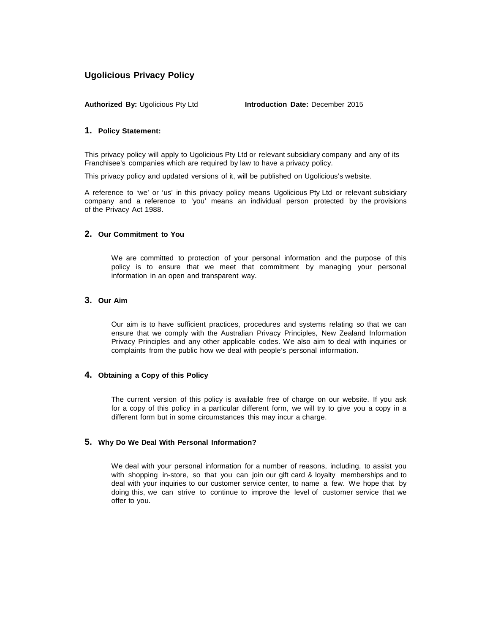# **Ugolicious Privacy Policy**

**Authorized By:** Ugolicious Pty Ltd **Introduction Date:** December 2015

## **1. Policy Statement:**

This privacy policy will apply to Ugolicious Pty Ltd or relevant subsidiary company and any of its Franchisee's companies which are required by law to have a privacy policy.

This privacy policy and updated versions of it, will be published on Ugolicious's website.

A reference to 'we' or 'us' in this privacy policy means Ugolicious Pty Ltd or relevant subsidiary company and a reference to 'you' means an individual person protected by the provisions of the Privacy Act 1988.

## **2. Our Commitment to You**

We are committed to protection of your personal information and the purpose of this policy is to ensure that we meet that commitment by managing your personal information in an open and transparent way.

## **3. Our Aim**

Our aim is to have sufficient practices, procedures and systems relating so that we can ensure that we comply with the Australian Privacy Principles, New Zealand Information Privacy Principles and any other applicable codes. We also aim to deal with inquiries or complaints from the public how we deal with people's personal information.

## **4. Obtaining a Copy of this Policy**

The current version of this policy is available free of charge on our website. If you ask for a copy of this policy in a particular different form, we will try to give you a copy in a different form but in some circumstances this may incur a charge.

## **5. Why Do We Deal With Personal Information?**

We deal with your personal information for a number of reasons, including, to assist you with shopping in-store, so that you can join our gift card & loyalty memberships and to deal with your inquiries to our customer service center, to name a few. We hope that by doing this, we can strive to continue to improve the level of customer service that we offer to you.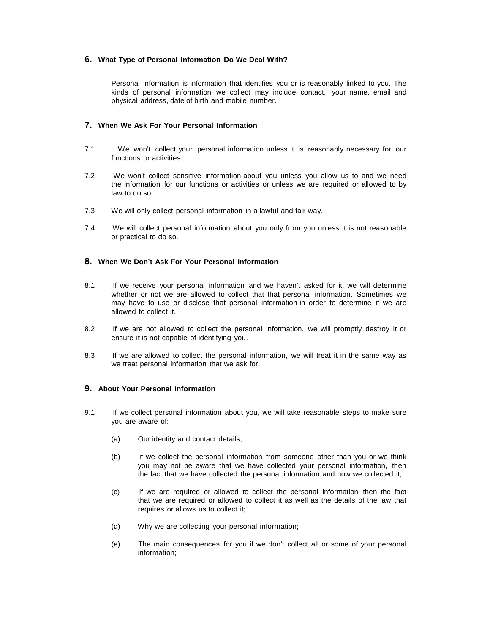## **6. What Type of Personal Information Do We Deal With?**

Personal information is information that identifies you or is reasonably linked to you. The kinds of personal information we collect may include contact, your name, email and physical address, date of birth and mobile number.

## **7. When We Ask For Your Personal Information**

- 7.1 We won't collect your personal information unless it is reasonably necessary for our functions or activities.
- 7.2 We won't collect sensitive information about you unless you allow us to and we need the information for our functions or activities or unless we are required or allowed to by law to do so.
- 7.3 We will only collect personal information in a lawful and fair way.
- 7.4 We will collect personal information about you only from you unless it is not reasonable or practical to do so.

### **8. When We Don't Ask For Your Personal Information**

- 8.1 If we receive your personal information and we haven't asked for it, we will determine whether or not we are allowed to collect that that personal information. Sometimes we may have to use or disclose that personal information in order to determine if we are allowed to collect it.
- 8.2 If we are not allowed to collect the personal information, we will promptly destroy it or ensure it is not capable of identifying you.
- 8.3 If we are allowed to collect the personal information, we will treat it in the same way as we treat personal information that we ask for.

## **9. About Your Personal Information**

- 9.1 If we collect personal information about you, we will take reasonable steps to make sure you are aware of:
	- (a) Our identity and contact details;
	- (b) if we collect the personal information from someone other than you or we think you may not be aware that we have collected your personal information, then the fact that we have collected the personal information and how we collected it;
	- (c) if we are required or allowed to collect the personal information then the fact that we are required or allowed to collect it as well as the details of the law that requires or allows us to collect it;
	- (d) Why we are collecting your personal information;
	- (e) The main consequences for you if we don't collect all or some of your personal information;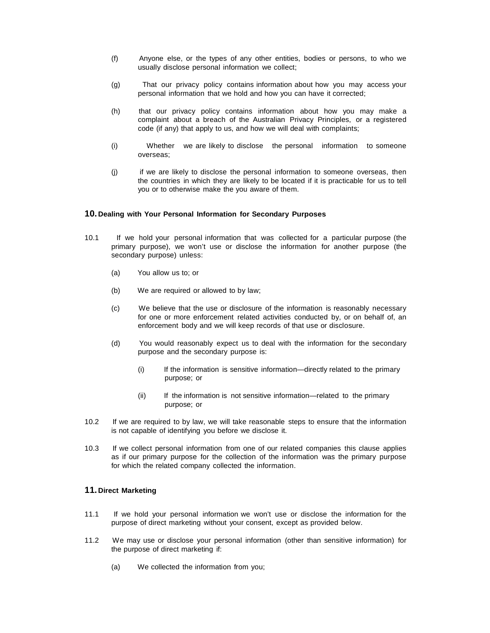- (f) Anyone else, or the types of any other entities, bodies or persons, to who we usually disclose personal information we collect;
- (g) That our privacy policy contains information about how you may access your personal information that we hold and how you can have it corrected;
- (h) that our privacy policy contains information about how you may make a complaint about a breach of the Australian Privacy Principles, or a registered code (if any) that apply to us, and how we will deal with complaints;
- (i) Whether we are likely to disclose the personal information to someone overseas;
- (j) if we are likely to disclose the personal information to someone overseas, then the countries in which they are likely to be located if it is practicable for us to tell you or to otherwise make the you aware of them.

#### **10. Dealing with Your Personal Information for Secondary Purposes**

- 10.1 If we hold your personal information that was collected for a particular purpose (the primary purpose), we won't use or disclose the information for another purpose (the secondary purpose) unless:
	- (a) You allow us to; or
	- (b) We are required or allowed to by law;
	- (c) We believe that the use or disclosure of the information is reasonably necessary for one or more enforcement related activities conducted by, or on behalf of, an enforcement body and we will keep records of that use or disclosure.
	- (d) You would reasonably expect us to deal with the information for the secondary purpose and the secondary purpose is:
		- (i) If the information is sensitive information—directly related to the primary purpose; or
		- (ii) If the information is not sensitive information—related to the primary purpose; or
- 10.2 If we are required to by law, we will take reasonable steps to ensure that the information is not capable of identifying you before we disclose it.
- 10.3 If we collect personal information from one of our related companies this clause applies as if our primary purpose for the collection of the information was the primary purpose for which the related company collected the information.

## **11. Direct Marketing**

- 11.1 If we hold your personal information we won't use or disclose the information for the purpose of direct marketing without your consent, except as provided below.
- 11.2 We may use or disclose your personal information (other than sensitive information) for the purpose of direct marketing if:
	- (a) We collected the information from you;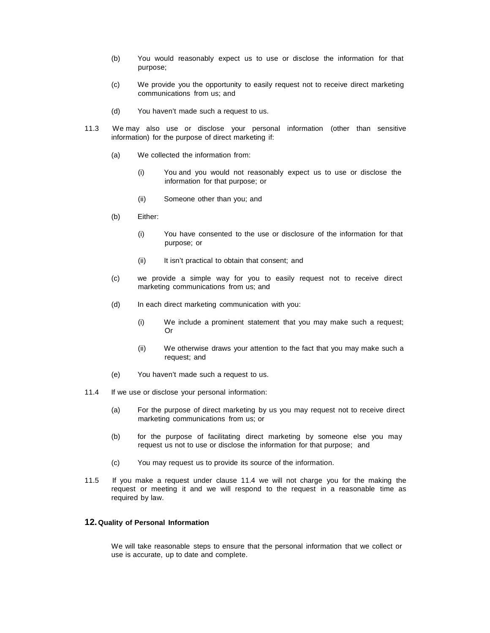- (b) You would reasonably expect us to use or disclose the information for that purpose;
- (c) We provide you the opportunity to easily request not to receive direct marketing communications from us; and
- (d) You haven't made such a request to us.
- 11.3 We may also use or disclose your personal information (other than sensitive information) for the purpose of direct marketing if:
	- (a) We collected the information from:
		- (i) You and you would not reasonably expect us to use or disclose the information for that purpose; or
		- (ii) Someone other than you; and
	- (b) Either:
		- (i) You have consented to the use or disclosure of the information for that purpose; or
		- (ii) It isn't practical to obtain that consent; and
	- (c) we provide a simple way for you to easily request not to receive direct marketing communications from us; and
	- (d) In each direct marketing communication with you:
		- (i) We include a prominent statement that you may make such a request; Or
		- (ii) We otherwise draws your attention to the fact that you may make such a request; and
	- (e) You haven't made such a request to us.
- 11.4 If we use or disclose your personal information:
	- (a) For the purpose of direct marketing by us you may request not to receive direct marketing communications from us; or
	- (b) for the purpose of facilitating direct marketing by someone else you may request us not to use or disclose the information for that purpose; and
	- (c) You may request us to provide its source of the information.
- 11.5 If you make a request under clause 11.4 we will not charge you for the making the request or meeting it and we will respond to the request in a reasonable time as required by law.

## **12.Quality of Personal Information**

We will take reasonable steps to ensure that the personal information that we collect or use is accurate, up to date and complete.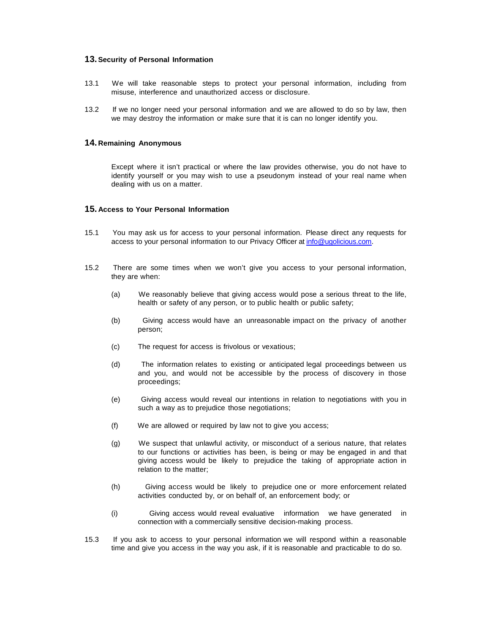#### **13.Security of Personal Information**

- 13.1 We will take reasonable steps to protect your personal information, including from misuse, interference and unauthorized access or disclosure.
- 13.2 If we no longer need your personal information and we are allowed to do so by law, then we may destroy the information or make sure that it is can no longer identify you.

#### **14. Remaining Anonymous**

Except where it isn't practical or where the law provides otherwise, you do not have to identify yourself or you may wish to use a pseudonym instead of your real name when dealing with us on a matter.

#### **15. Access to Your Personal Information**

- 15.1 You may ask us for access to your personal information. Please direct any requests for access to your personal information to our Privacy Officer at [info@ugolicious.com.](mailto:info@ugolicious.com)
- 15.2 There are some times when we won't give you access to your personal information, they are when:
	- (a) We reasonably believe that giving access would pose a serious threat to the life, health or safety of any person, or to public health or public safety;
	- (b) Giving access would have an unreasonable impact on the privacy of another person;
	- (c) The request for access is frivolous or vexatious;
	- (d) The information relates to existing or anticipated legal proceedings between us and you, and would not be accessible by the process of discovery in those proceedings;
	- (e) Giving access would reveal our intentions in relation to negotiations with you in such a way as to prejudice those negotiations;
	- (f) We are allowed or required by law not to give you access;
	- (g) We suspect that unlawful activity, or misconduct of a serious nature, that relates to our functions or activities has been, is being or may be engaged in and that giving access would be likely to prejudice the taking of appropriate action in relation to the matter;
	- (h) Giving access would be likely to prejudice one or more enforcement related activities conducted by, or on behalf of, an enforcement body; or
	- (i) Giving access would reveal evaluative information we have generated in connection with a commercially sensitive decision-making process.
- 15.3 If you ask to access to your personal information we will respond within a reasonable time and give you access in the way you ask, if it is reasonable and practicable to do so.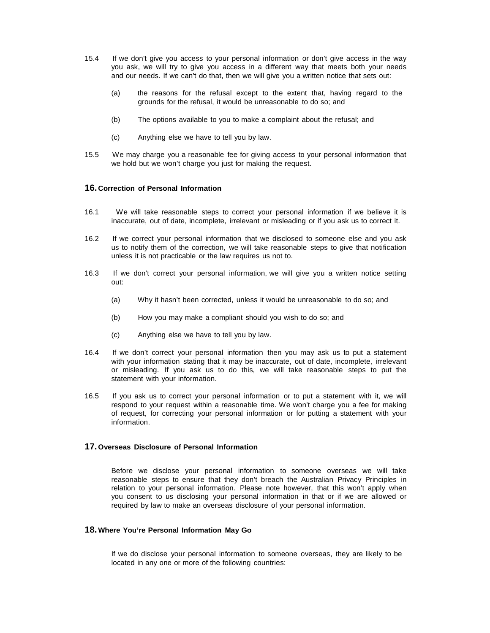- 15.4 If we don't give you access to your personal information or don't give access in the way you ask, we will try to give you access in a different way that meets both your needs and our needs. If we can't do that, then we will give you a written notice that sets out:
	- (a) the reasons for the refusal except to the extent that, having regard to the grounds for the refusal, it would be unreasonable to do so; and
	- (b) The options available to you to make a complaint about the refusal; and
	- (c) Anything else we have to tell you by law.
- 15.5 We may charge you a reasonable fee for giving access to your personal information that we hold but we won't charge you just for making the request.

## **16. Correction of Personal Information**

- 16.1 We will take reasonable steps to correct your personal information if we believe it is inaccurate, out of date, incomplete, irrelevant or misleading or if you ask us to correct it.
- 16.2 If we correct your personal information that we disclosed to someone else and you ask us to notify them of the correction, we will take reasonable steps to give that notification unless it is not practicable or the law requires us not to.
- 16.3 If we don't correct your personal information, we will give you a written notice setting out:
	- (a) Why it hasn't been corrected, unless it would be unreasonable to do so; and
	- (b) How you may make a compliant should you wish to do so; and
	- (c) Anything else we have to tell you by law.
- 16.4 If we don't correct your personal information then you may ask us to put a statement with your information stating that it may be inaccurate, out of date, incomplete, irrelevant or misleading. If you ask us to do this, we will take reasonable steps to put the statement with your information.
- 16.5 If you ask us to correct your personal information or to put a statement with it, we will respond to your request within a reasonable time. We won't charge you a fee for making of request, for correcting your personal information or for putting a statement with your information.

## **17.Overseas Disclosure of Personal Information**

Before we disclose your personal information to someone overseas we will take reasonable steps to ensure that they don't breach the Australian Privacy Principles in relation to your personal information. Please note however, that this won't apply when you consent to us disclosing your personal information in that or if we are allowed or required by law to make an overseas disclosure of your personal information.

#### **18.Where You're Personal Information May Go**

If we do disclose your personal information to someone overseas, they are likely to be located in any one or more of the following countries: